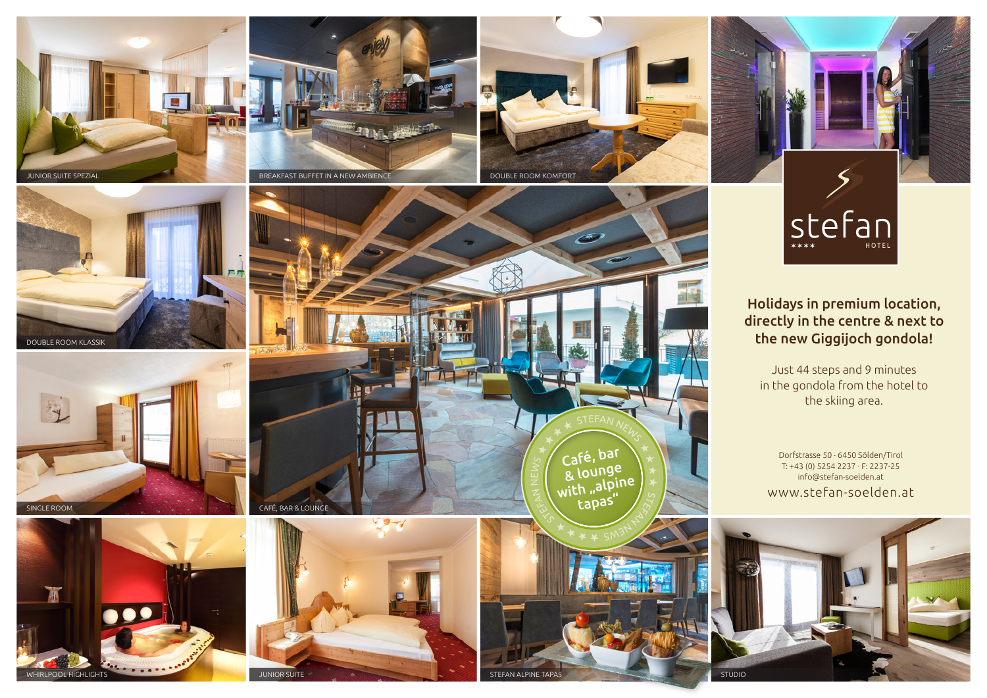

BREAKFAST BUFFET IN A NEW AMBIENCE



JUNIOR SUITE SPEZIAL







JUNIOR SUITE



STEFAN ALPINE TAPAS



Holidays in premium location, directly in the centre & next to the new Giggijoch gondola!

Just 44 steps and 9 minutes in the gondola from the hotel to the skiing area.

Dorfstrasse 50 . 6450 Sölden/Tirol T: +43 (0) 5254 2237 . F: 2237-25 info@stefan-soelden.at www.stefan-soelden.at